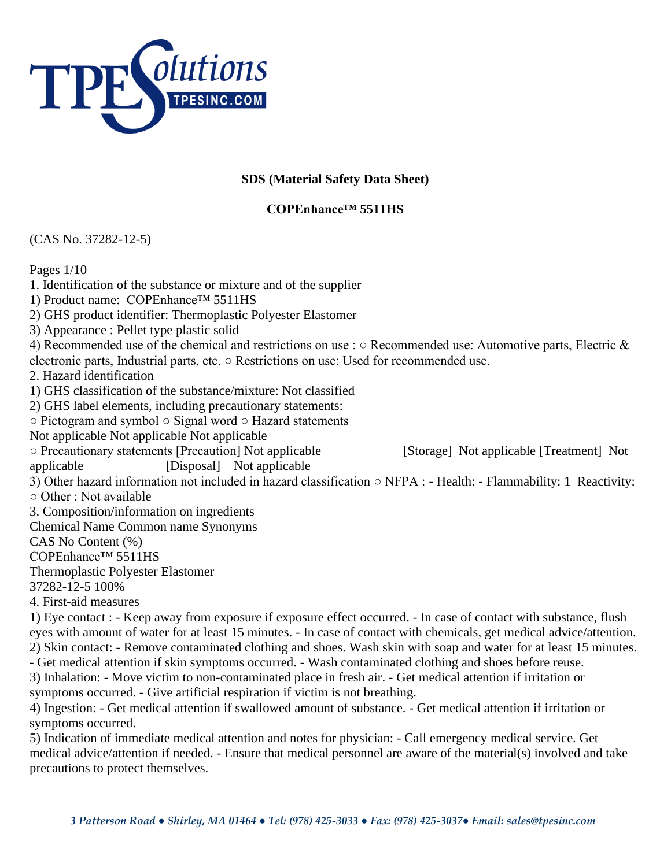

## **SDS (Material Safety Data Sheet)**

## **COPEnhance™ 5511HS**

(CAS No. 37282-12-5)

Pages 1/10

1. Identification of the substance or mixture and of the supplier 1) Product name: COPEnhance™ 5511HS 2) GHS product identifier: Thermoplastic Polyester Elastomer 3) Appearance : Pellet type plastic solid 4) Recommended use of the chemical and restrictions on use : ○ Recommended use: Automotive parts, Electric & electronic parts, Industrial parts, etc. ○ Restrictions on use: Used for recommended use. 2. Hazard identification 1) GHS classification of the substance/mixture: Not classified 2) GHS label elements, including precautionary statements: ○ Pictogram and symbol ○ Signal word ○ Hazard statements Not applicable Not applicable Not applicable ○ Precautionary statements [Precaution] Not applicable [Storage] Not applicable [Treatment] Not applicable [Disposal] Not applicable 3) Other hazard information not included in hazard classification ○ NFPA : - Health: - Flammability: 1 Reactivity: ○ Other : Not available 3. Composition/information on ingredients Chemical Name Common name Synonyms CAS No Content (%) COPEnhance™ 5511HS Thermoplastic Polyester Elastomer 37282-12-5 100% 4. First-aid measures 1) Eye contact : - Keep away from exposure if exposure effect occurred. - In case of contact with substance, flush eyes with amount of water for at least 15 minutes. - In case of contact with chemicals, get medical advice/attention. 2) Skin contact: - Remove contaminated clothing and shoes. Wash skin with soap and water for at least 15 minutes. - Get medical attention if skin symptoms occurred. - Wash contaminated clothing and shoes before reuse. 3) Inhalation: - Move victim to non-contaminated place in fresh air. - Get medical attention if irritation or symptoms occurred. - Give artificial respiration if victim is not breathing. 4) Ingestion: - Get medical attention if swallowed amount of substance. - Get medical attention if irritation or symptoms occurred. 5) Indication of immediate medical attention and notes for physician: - Call emergency medical service. Get medical advice/attention if needed. - Ensure that medical personnel are aware of the material(s) involved and take

precautions to protect themselves.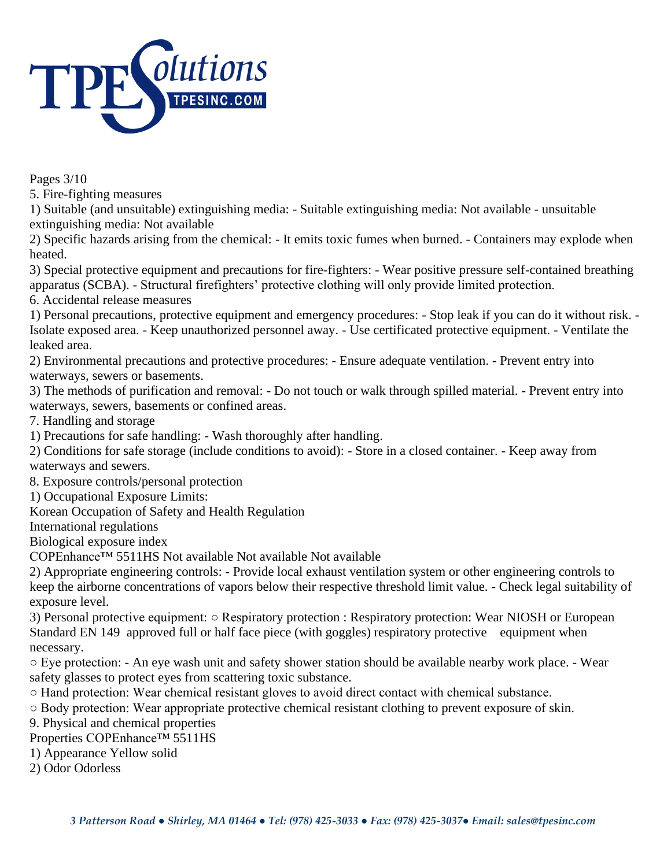

Pages 3/10

5. Fire-fighting measures

1) Suitable (and unsuitable) extinguishing media: - Suitable extinguishing media: Not available - unsuitable extinguishing media: Not available

2) Specific hazards arising from the chemical: - It emits toxic fumes when burned. - Containers may explode when heated.

3) Special protective equipment and precautions for fire-fighters: - Wear positive pressure self-contained breathing apparatus (SCBA). - Structural firefighters' protective clothing will only provide limited protection.

6. Accidental release measures

1) Personal precautions, protective equipment and emergency procedures: - Stop leak if you can do it without risk. - Isolate exposed area. - Keep unauthorized personnel away. - Use certificated protective equipment. - Ventilate the leaked area.

2) Environmental precautions and protective procedures: - Ensure adequate ventilation. - Prevent entry into waterways, sewers or basements.

3) The methods of purification and removal: - Do not touch or walk through spilled material. - Prevent entry into waterways, sewers, basements or confined areas.

7. Handling and storage

1) Precautions for safe handling: - Wash thoroughly after handling.

2) Conditions for safe storage (include conditions to avoid): - Store in a closed container. - Keep away from waterways and sewers.

8. Exposure controls/personal protection

1) Occupational Exposure Limits:

Korean Occupation of Safety and Health Regulation

International regulations

Biological exposure index

COPEnhance™ 5511HS Not available Not available Not available

2) Appropriate engineering controls: - Provide local exhaust ventilation system or other engineering controls to keep the airborne concentrations of vapors below their respective threshold limit value. - Check legal suitability of exposure level.

3) Personal protective equipment: ○ Respiratory protection : Respiratory protection: Wear NIOSH or European Standard EN 149 approved full or half face piece (with goggles) respiratory protective equipment when necessary.

○ Eye protection: - An eye wash unit and safety shower station should be available nearby work place. - Wear safety glasses to protect eyes from scattering toxic substance.

○ Hand protection: Wear chemical resistant gloves to avoid direct contact with chemical substance.

○ Body protection: Wear appropriate protective chemical resistant clothing to prevent exposure of skin.

9. Physical and chemical properties

Properties COPEnhance™ 5511HS

1) Appearance Yellow solid

2) Odor Odorless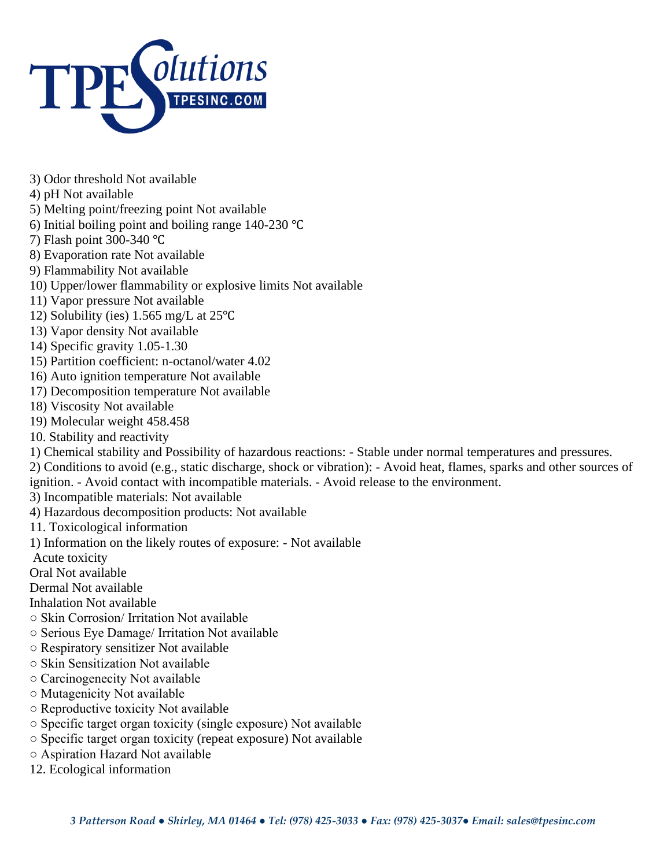

- 3) Odor threshold Not available
- 4) pH Not available
- 5) Melting point/freezing point Not available
- 6) Initial boiling point and boiling range 140-230 ℃
- 7) Flash point 300-340 ℃
- 8) Evaporation rate Not available
- 9) Flammability Not available
- 10) Upper/lower flammability or explosive limits Not available
- 11) Vapor pressure Not available
- 12) Solubility (ies) 1.565 mg/L at 25℃
- 13) Vapor density Not available
- 14) Specific gravity 1.05-1.30
- 15) Partition coefficient: n-octanol/water 4.02
- 16) Auto ignition temperature Not available
- 17) Decomposition temperature Not available
- 18) Viscosity Not available
- 19) Molecular weight 458.458
- 10. Stability and reactivity
- 1) Chemical stability and Possibility of hazardous reactions: Stable under normal temperatures and pressures.
- 2) Conditions to avoid (e.g., static discharge, shock or vibration): Avoid heat, flames, sparks and other sources of ignition. - Avoid contact with incompatible materials. - Avoid release to the environment.
- 3) Incompatible materials: Not available
- 4) Hazardous decomposition products: Not available
- 11. Toxicological information
- 1) Information on the likely routes of exposure: Not available
- Acute toxicity
- Oral Not available
- Dermal Not available
- Inhalation Not available
- Skin Corrosion/ Irritation Not available
- Serious Eye Damage/ Irritation Not available
- Respiratory sensitizer Not available
- Skin Sensitization Not available
- Carcinogenecity Not available
- Mutagenicity Not available
- Reproductive toxicity Not available
- Specific target organ toxicity (single exposure) Not available
- Specific target organ toxicity (repeat exposure) Not available
- Aspiration Hazard Not available
- 12. Ecological information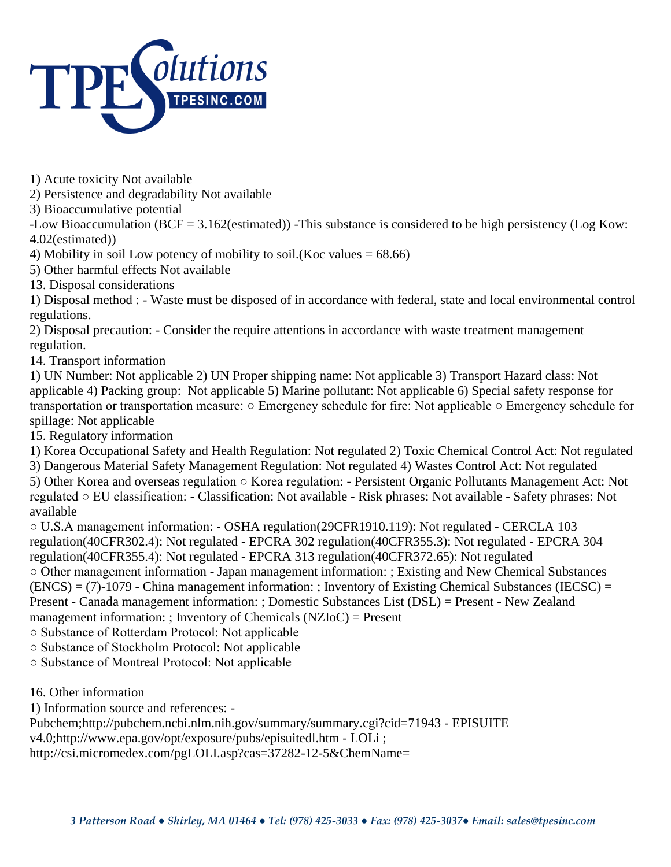

1) Acute toxicity Not available

2) Persistence and degradability Not available

3) Bioaccumulative potential

-Low Bioaccumulation (BCF = 3.162(estimated)) -This substance is considered to be high persistency (Log Kow: 4.02(estimated))

4) Mobility in soil Low potency of mobility to soil.(Koc values  $= 68.66$ )

5) Other harmful effects Not available

13. Disposal considerations

1) Disposal method : - Waste must be disposed of in accordance with federal, state and local environmental control regulations.

2) Disposal precaution: - Consider the require attentions in accordance with waste treatment management regulation.

14. Transport information

1) UN Number: Not applicable 2) UN Proper shipping name: Not applicable 3) Transport Hazard class: Not applicable 4) Packing group: Not applicable 5) Marine pollutant: Not applicable 6) Special safety response for transportation or transportation measure: ○ Emergency schedule for fire: Not applicable ○ Emergency schedule for spillage: Not applicable

15. Regulatory information

1) Korea Occupational Safety and Health Regulation: Not regulated 2) Toxic Chemical Control Act: Not regulated

3) Dangerous Material Safety Management Regulation: Not regulated 4) Wastes Control Act: Not regulated

5) Other Korea and overseas regulation ○ Korea regulation: - Persistent Organic Pollutants Management Act: Not regulated ○ EU classification: - Classification: Not available - Risk phrases: Not available - Safety phrases: Not available

○ U.S.A management information: - OSHA regulation(29CFR1910.119): Not regulated - CERCLA 103 regulation(40CFR302.4): Not regulated - EPCRA 302 regulation(40CFR355.3): Not regulated - EPCRA 304 regulation(40CFR355.4): Not regulated - EPCRA 313 regulation(40CFR372.65): Not regulated ○ Other management information - Japan management information: ; Existing and New Chemical Substances  $(ENCS) = (7) - 1079$  - China management information: ; Inventory of Existing Chemical Substances (IECSC) = Present - Canada management information: ; Domestic Substances List (DSL) = Present - New Zealand management information: ; Inventory of Chemicals (NZIoC) = Present

○ Substance of Rotterdam Protocol: Not applicable

○ Substance of Stockholm Protocol: Not applicable

○ Substance of Montreal Protocol: Not applicable

16. Other information

1) Information source and references: -

Pubchem;http://pubchem.ncbi.nlm.nih.gov/summary/summary.cgi?cid=71943 - EPISUITE

v4.0;http://www.epa.gov/opt/exposure/pubs/episuitedl.htm - LOLi ;

http://csi.micromedex.com/pgLOLI.asp?cas=37282-12-5&ChemName=